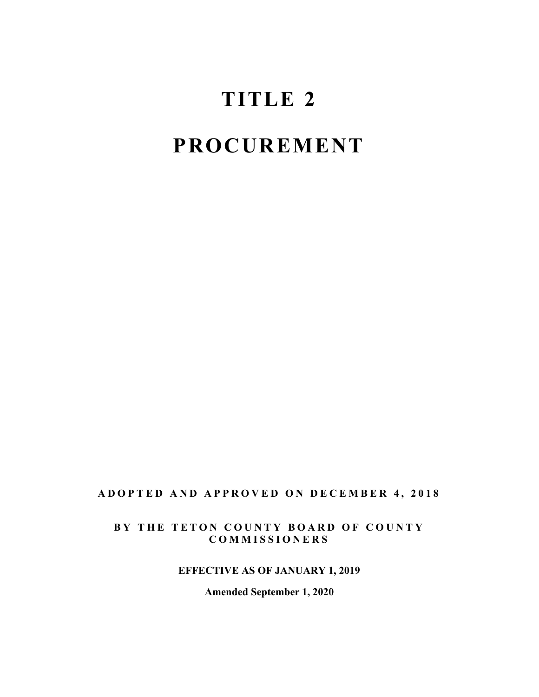# **TITLE 2**

# **PROCUREMENT**

#### **ADOPTED AND APPROVED ON DECEMBER 4, 201 8**

#### **BY THE TETON COUNTY BOARD OF COUNTY COMMISSIONERS**

#### **EFFECTIVE AS OF JANUARY 1, 2019**

**Amended September 1, 2020**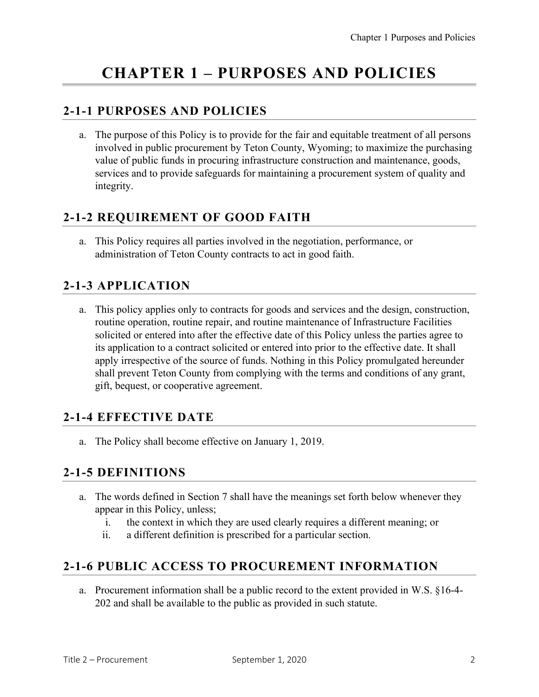## **CHAPTER 1 – PURPOSES AND POLICIES**

### **2-1-1 PURPOSES AND POLICIES**

a. The purpose of this Policy is to provide for the fair and equitable treatment of all persons involved in public procurement by Teton County, Wyoming; to maximize the purchasing value of public funds in procuring infrastructure construction and maintenance, goods, services and to provide safeguards for maintaining a procurement system of quality and integrity.

#### **2-1-2 REQUIREMENT OF GOOD FAITH**

a. This Policy requires all parties involved in the negotiation, performance, or administration of Teton County contracts to act in good faith.

## **2-1-3 APPLICATION**

a. This policy applies only to contracts for goods and services and the design, construction, routine operation, routine repair, and routine maintenance of Infrastructure Facilities solicited or entered into after the effective date of this Policy unless the parties agree to its application to a contract solicited or entered into prior to the effective date. It shall apply irrespective of the source of funds. Nothing in this Policy promulgated hereunder shall prevent Teton County from complying with the terms and conditions of any grant, gift, bequest, or cooperative agreement.

#### **2-1-4 EFFECTIVE DATE**

a. The Policy shall become effective on January 1, 2019.

#### **2-1-5 DEFINITIONS**

- a. The words defined in Section 7 shall have the meanings set forth below whenever they appear in this Policy, unless;
	- i. the context in which they are used clearly requires a different meaning; or
	- ii. a different definition is prescribed for a particular section.

#### **2-1-6 PUBLIC ACCESS TO PROCUREMENT INFORMATION**

a. Procurement information shall be a public record to the extent provided in W.S. §16-4- 202 and shall be available to the public as provided in such statute.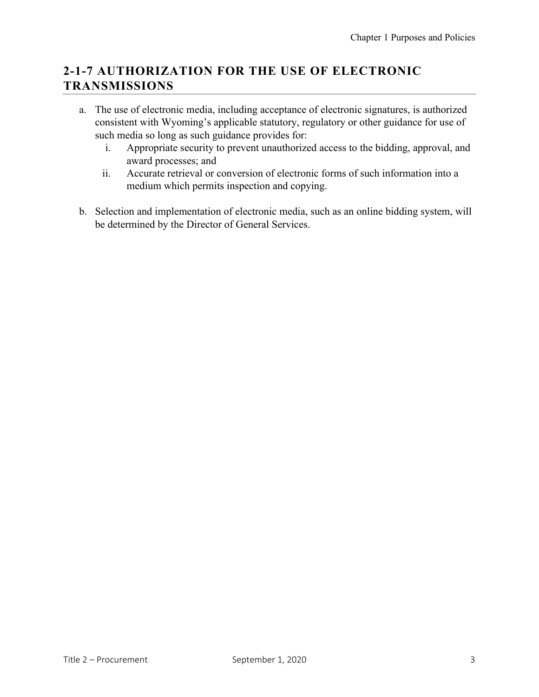## **2-1-7 AUTHORIZATION FOR THE USE OF ELECTRONIC TRANSMISSIONS**

- a. The use of electronic media, including acceptance of electronic signatures, is authorized consistent with Wyoming's applicable statutory, regulatory or other guidance for use of such media so long as such guidance provides for:
	- i. Appropriate security to prevent unauthorized access to the bidding, approval, and award processes; and
	- ii. Accurate retrieval or conversion of electronic forms of such information into a medium which permits inspection and copying.
- b. Selection and implementation of electronic media, such as an online bidding system, will be determined by the Director of General Services.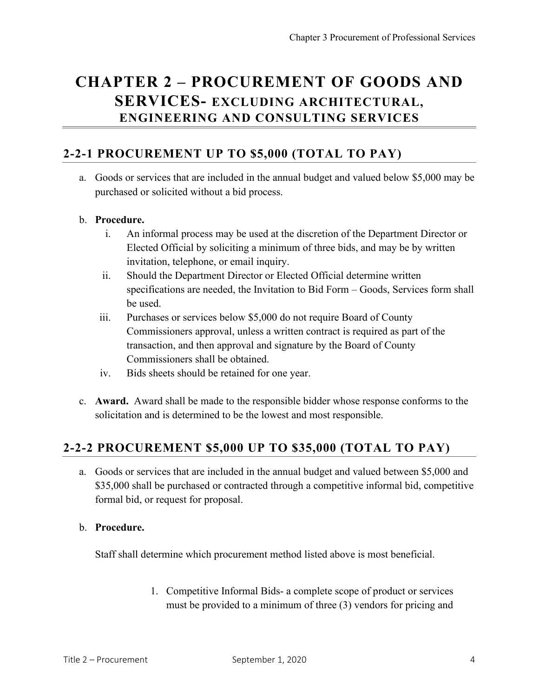## **CHAPTER 2 – PROCUREMENT OF GOODS AND SERVICES- EXCLUDING ARCHITECTURAL, ENGINEERING AND CONSULTING SERVICES**

#### **2-2-1 PROCUREMENT UP TO \$5,000 (TOTAL TO PAY)**

a. Goods or services that are included in the annual budget and valued below \$5,000 may be purchased or solicited without a bid process.

#### b. **Procedure.**

- i. An informal process may be used at the discretion of the Department Director or Elected Official by soliciting a minimum of three bids, and may be by written invitation, telephone, or email inquiry.
- ii. Should the Department Director or Elected Official determine written specifications are needed, the Invitation to Bid Form – Goods, Services form shall be used.
- iii. Purchases or services below \$5,000 do not require Board of County Commissioners approval, unless a written contract is required as part of the transaction, and then approval and signature by the Board of County Commissioners shall be obtained.
- iv. Bids sheets should be retained for one year.
- c. **Award.** Award shall be made to the responsible bidder whose response conforms to the solicitation and is determined to be the lowest and most responsible.

#### **2-2-2 PROCUREMENT \$5,000 UP TO \$35,000 (TOTAL TO PAY)**

a. Goods or services that are included in the annual budget and valued between \$5,000 and \$35,000 shall be purchased or contracted through a competitive informal bid, competitive formal bid, or request for proposal.

#### b. **Procedure.**

Staff shall determine which procurement method listed above is most beneficial.

1. Competitive Informal Bids- a complete scope of product or services must be provided to a minimum of three (3) vendors for pricing and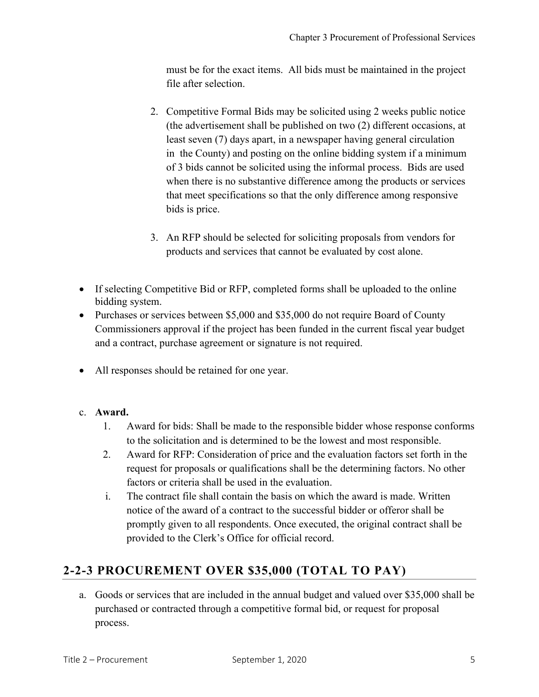must be for the exact items. All bids must be maintained in the project file after selection.

- 2. Competitive Formal Bids may be solicited using 2 weeks public notice (the advertisement shall be published on two (2) different occasions, at least seven (7) days apart, in a newspaper having general circulation in the County) and posting on the online bidding system if a minimum of 3 bids cannot be solicited using the informal process. Bids are used when there is no substantive difference among the products or services that meet specifications so that the only difference among responsive bids is price.
- 3. An RFP should be selected for soliciting proposals from vendors for products and services that cannot be evaluated by cost alone.
- If selecting Competitive Bid or RFP, completed forms shall be uploaded to the online bidding system.
- Purchases or services between \$5,000 and \$35,000 do not require Board of County Commissioners approval if the project has been funded in the current fiscal year budget and a contract, purchase agreement or signature is not required.
- All responses should be retained for one year.
- c. **Award.**
	- 1. Award for bids: Shall be made to the responsible bidder whose response conforms to the solicitation and is determined to be the lowest and most responsible.
	- 2. Award for RFP: Consideration of price and the evaluation factors set forth in the request for proposals or qualifications shall be the determining factors. No other factors or criteria shall be used in the evaluation.
	- i. The contract file shall contain the basis on which the award is made. Written notice of the award of a contract to the successful bidder or offeror shall be promptly given to all respondents. Once executed, the original contract shall be provided to the Clerk's Office for official record.

## **2-2-3 PROCUREMENT OVER \$35,000 (TOTAL TO PAY)**

a. Goods or services that are included in the annual budget and valued over \$35,000 shall be purchased or contracted through a competitive formal bid, or request for proposal process.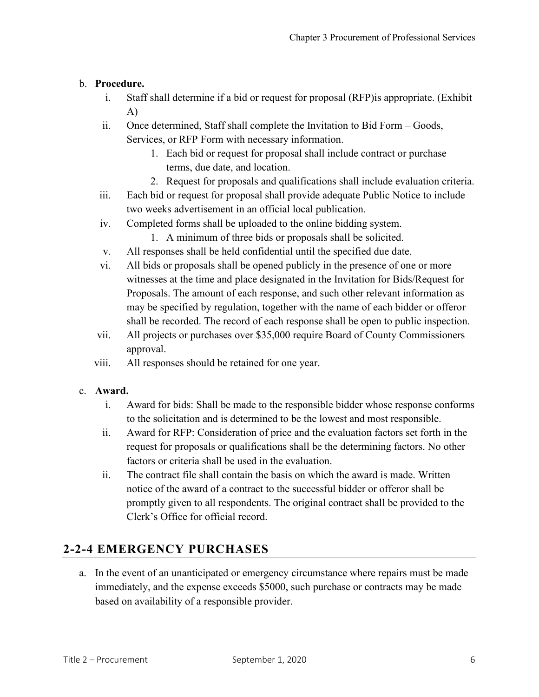#### b. **Procedure.**

- i. Staff shall determine if a bid or request for proposal (RFP)is appropriate. (Exhibit A)
- ii. Once determined, Staff shall complete the Invitation to Bid Form Goods, Services, or RFP Form with necessary information.
	- 1. Each bid or request for proposal shall include contract or purchase terms, due date, and location.
	- 2. Request for proposals and qualifications shall include evaluation criteria.
- iii. Each bid or request for proposal shall provide adequate Public Notice to include two weeks advertisement in an official local publication.
- iv. Completed forms shall be uploaded to the online bidding system.
	- 1. A minimum of three bids or proposals shall be solicited.
- v. All responses shall be held confidential until the specified due date.
- vi. All bids or proposals shall be opened publicly in the presence of one or more witnesses at the time and place designated in the Invitation for Bids/Request for Proposals. The amount of each response, and such other relevant information as may be specified by regulation, together with the name of each bidder or offeror shall be recorded. The record of each response shall be open to public inspection.
- vii. All projects or purchases over \$35,000 require Board of County Commissioners approval.
- viii. All responses should be retained for one year.

#### c. **Award.**

- i. Award for bids: Shall be made to the responsible bidder whose response conforms to the solicitation and is determined to be the lowest and most responsible.
- ii. Award for RFP: Consideration of price and the evaluation factors set forth in the request for proposals or qualifications shall be the determining factors. No other factors or criteria shall be used in the evaluation.
- ii. The contract file shall contain the basis on which the award is made. Written notice of the award of a contract to the successful bidder or offeror shall be promptly given to all respondents. The original contract shall be provided to the Clerk's Office for official record.

## **2-2-4 EMERGENCY PURCHASES**

a. In the event of an unanticipated or emergency circumstance where repairs must be made immediately, and the expense exceeds \$5000, such purchase or contracts may be made based on availability of a responsible provider.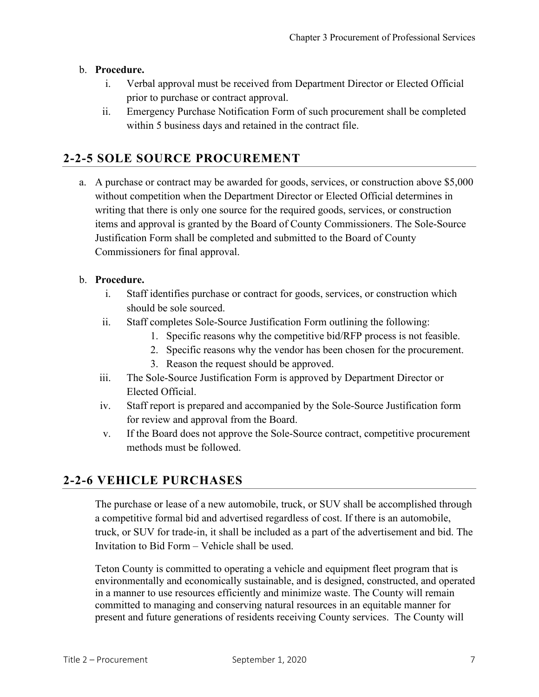#### b. **Procedure.**

- i. Verbal approval must be received from Department Director or Elected Official prior to purchase or contract approval.
- ii. Emergency Purchase Notification Form of such procurement shall be completed within 5 business days and retained in the contract file.

## **2-2-5 SOLE SOURCE PROCUREMENT**

a. A purchase or contract may be awarded for goods, services, or construction above \$5,000 without competition when the Department Director or Elected Official determines in writing that there is only one source for the required goods, services, or construction items and approval is granted by the Board of County Commissioners. The Sole-Source Justification Form shall be completed and submitted to the Board of County Commissioners for final approval.

#### b. **Procedure.**

- i. Staff identifies purchase or contract for goods, services, or construction which should be sole sourced.
- ii. Staff completes Sole-Source Justification Form outlining the following:
	- 1. Specific reasons why the competitive bid/RFP process is not feasible.
	- 2. Specific reasons why the vendor has been chosen for the procurement.
	- 3. Reason the request should be approved.
- iii. The Sole-Source Justification Form is approved by Department Director or Elected Official.
- iv. Staff report is prepared and accompanied by the Sole-Source Justification form for review and approval from the Board.
- v. If the Board does not approve the Sole-Source contract, competitive procurement methods must be followed.

#### **2-2-6 VEHICLE PURCHASES**

The purchase or lease of a new automobile, truck, or SUV shall be accomplished through a competitive formal bid and advertised regardless of cost. If there is an automobile, truck, or SUV for trade-in, it shall be included as a part of the advertisement and bid. The Invitation to Bid Form – Vehicle shall be used.

Teton County is committed to operating a vehicle and equipment fleet program that is environmentally and economically sustainable, and is designed, constructed, and operated in a manner to use resources efficiently and minimize waste. The County will remain committed to managing and conserving natural resources in an equitable manner for present and future generations of residents receiving County services. The County will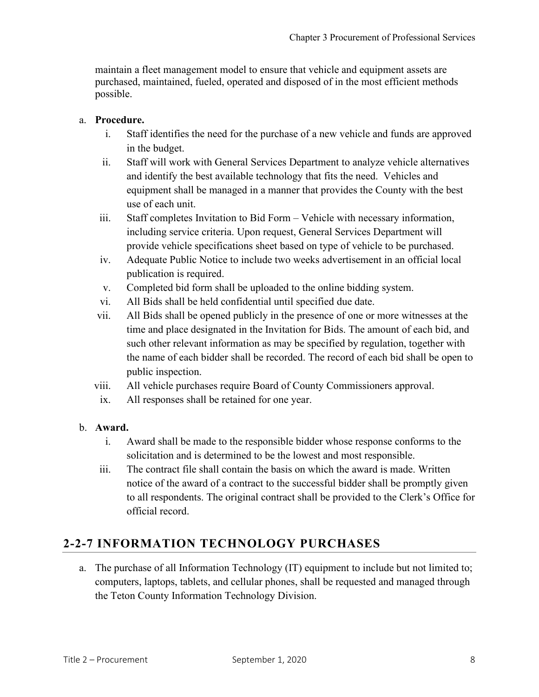maintain a fleet management model to ensure that vehicle and equipment assets are purchased, maintained, fueled, operated and disposed of in the most efficient methods possible.

#### a. **Procedure.**

- i. Staff identifies the need for the purchase of a new vehicle and funds are approved in the budget.
- ii. Staff will work with General Services Department to analyze vehicle alternatives and identify the best available technology that fits the need. Vehicles and equipment shall be managed in a manner that provides the County with the best use of each unit.
- iii. Staff completes Invitation to Bid Form Vehicle with necessary information, including service criteria. Upon request, General Services Department will provide vehicle specifications sheet based on type of vehicle to be purchased.
- iv. Adequate Public Notice to include two weeks advertisement in an official local publication is required.
- v. Completed bid form shall be uploaded to the online bidding system.
- vi. All Bids shall be held confidential until specified due date.
- vii. All Bids shall be opened publicly in the presence of one or more witnesses at the time and place designated in the Invitation for Bids. The amount of each bid, and such other relevant information as may be specified by regulation, together with the name of each bidder shall be recorded. The record of each bid shall be open to public inspection.
- viii. All vehicle purchases require Board of County Commissioners approval.
- ix. All responses shall be retained for one year.

#### b. **Award.**

- i. Award shall be made to the responsible bidder whose response conforms to the solicitation and is determined to be the lowest and most responsible.
- iii. The contract file shall contain the basis on which the award is made. Written notice of the award of a contract to the successful bidder shall be promptly given to all respondents. The original contract shall be provided to the Clerk's Office for official record.

## **2-2-7 INFORMATION TECHNOLOGY PURCHASES**

a. The purchase of all Information Technology (IT) equipment to include but not limited to; computers, laptops, tablets, and cellular phones, shall be requested and managed through the Teton County Information Technology Division.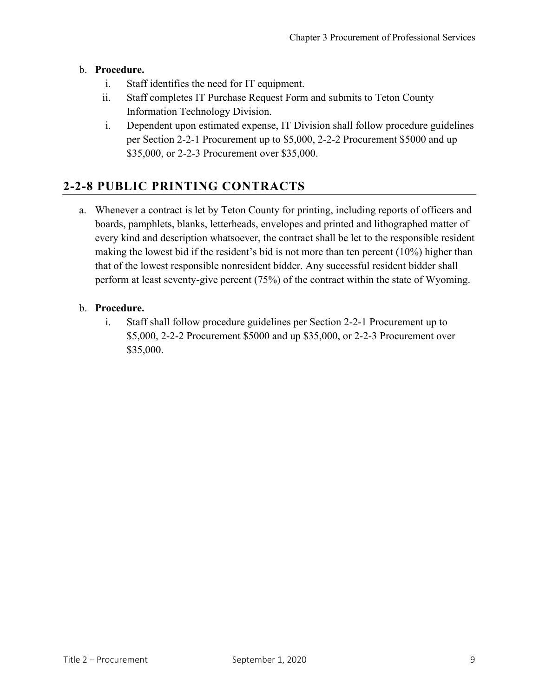#### b. **Procedure.**

- i. Staff identifies the need for IT equipment.
- ii. Staff completes IT Purchase Request Form and submits to Teton County Information Technology Division.
- i. Dependent upon estimated expense, IT Division shall follow procedure guidelines per Section 2-2-1 Procurement up to \$5,000, 2-2-2 Procurement \$5000 and up \$35,000, or 2-2-3 Procurement over \$35,000.

## **2-2-8 PUBLIC PRINTING CONTRACTS**

a. Whenever a contract is let by Teton County for printing, including reports of officers and boards, pamphlets, blanks, letterheads, envelopes and printed and lithographed matter of every kind and description whatsoever, the contract shall be let to the responsible resident making the lowest bid if the resident's bid is not more than ten percent (10%) higher than that of the lowest responsible nonresident bidder. Any successful resident bidder shall perform at least seventy-give percent (75%) of the contract within the state of Wyoming.

#### b. **Procedure.**

i. Staff shall follow procedure guidelines per Section 2-2-1 Procurement up to \$5,000, 2-2-2 Procurement \$5000 and up \$35,000, or 2-2-3 Procurement over \$35,000.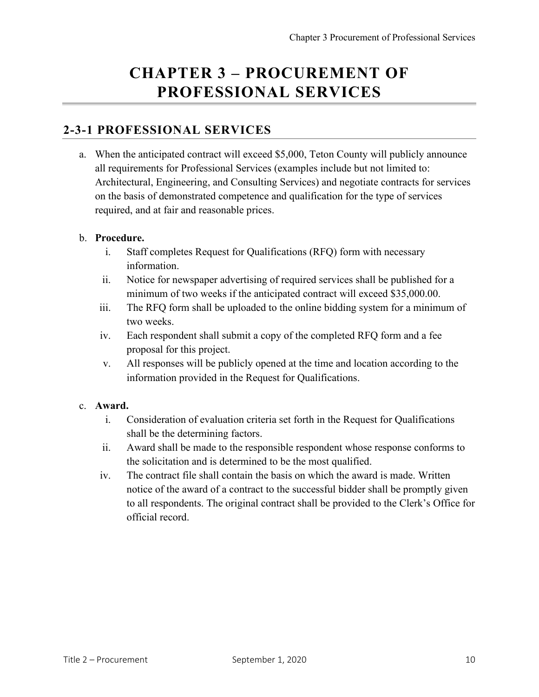## **CHAPTER 3 – PROCUREMENT OF PROFESSIONAL SERVICES**

#### **2-3-1 PROFESSIONAL SERVICES**

a. When the anticipated contract will exceed \$5,000, Teton County will publicly announce all requirements for Professional Services (examples include but not limited to: Architectural, Engineering, and Consulting Services) and negotiate contracts for services on the basis of demonstrated competence and qualification for the type of services required, and at fair and reasonable prices.

#### b. **Procedure.**

- i. Staff completes Request for Qualifications (RFQ) form with necessary information.
- ii. Notice for newspaper advertising of required services shall be published for a minimum of two weeks if the anticipated contract will exceed \$35,000.00.
- iii. The RFQ form shall be uploaded to the online bidding system for a minimum of two weeks.
- iv. Each respondent shall submit a copy of the completed RFQ form and a fee proposal for this project.
- v. All responses will be publicly opened at the time and location according to the information provided in the Request for Qualifications.

#### c. **Award.**

- i. Consideration of evaluation criteria set forth in the Request for Qualifications shall be the determining factors.
- ii. Award shall be made to the responsible respondent whose response conforms to the solicitation and is determined to be the most qualified.
- iv. The contract file shall contain the basis on which the award is made. Written notice of the award of a contract to the successful bidder shall be promptly given to all respondents. The original contract shall be provided to the Clerk's Office for official record.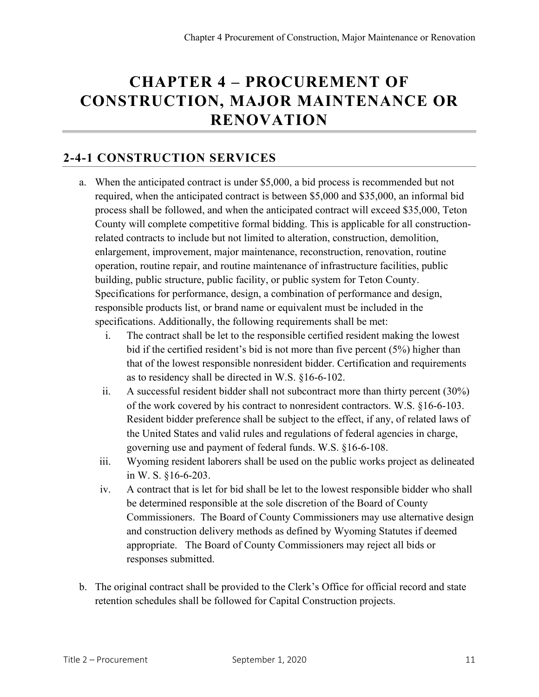## **CHAPTER 4 – PROCUREMENT OF CONSTRUCTION, MAJOR MAINTENANCE OR RENOVATION**

#### **2-4-1 CONSTRUCTION SERVICES**

- a. When the anticipated contract is under \$5,000, a bid process is recommended but not required, when the anticipated contract is between \$5,000 and \$35,000, an informal bid process shall be followed, and when the anticipated contract will exceed \$35,000, Teton County will complete competitive formal bidding. This is applicable for all constructionrelated contracts to include but not limited to alteration, construction, demolition, enlargement, improvement, major maintenance, reconstruction, renovation, routine operation, routine repair, and routine maintenance of infrastructure facilities, public building, public structure, public facility, or public system for Teton County. Specifications for performance, design, a combination of performance and design, responsible products list, or brand name or equivalent must be included in the specifications. Additionally, the following requirements shall be met:
	- i. The contract shall be let to the responsible certified resident making the lowest bid if the certified resident's bid is not more than five percent (5%) higher than that of the lowest responsible nonresident bidder. Certification and requirements as to residency shall be directed in W.S. §16-6-102.
	- ii. A successful resident bidder shall not subcontract more than thirty percent (30%) of the work covered by his contract to nonresident contractors. W.S. §16-6-103. Resident bidder preference shall be subject to the effect, if any, of related laws of the United States and valid rules and regulations of federal agencies in charge, governing use and payment of federal funds. W.S. §16-6-108.
	- iii. Wyoming resident laborers shall be used on the public works project as delineated in W. S. §16-6-203.
	- iv. A contract that is let for bid shall be let to the lowest responsible bidder who shall be determined responsible at the sole discretion of the Board of County Commissioners. The Board of County Commissioners may use alternative design and construction delivery methods as defined by Wyoming Statutes if deemed appropriate. The Board of County Commissioners may reject all bids or responses submitted.
- b. The original contract shall be provided to the Clerk's Office for official record and state retention schedules shall be followed for Capital Construction projects.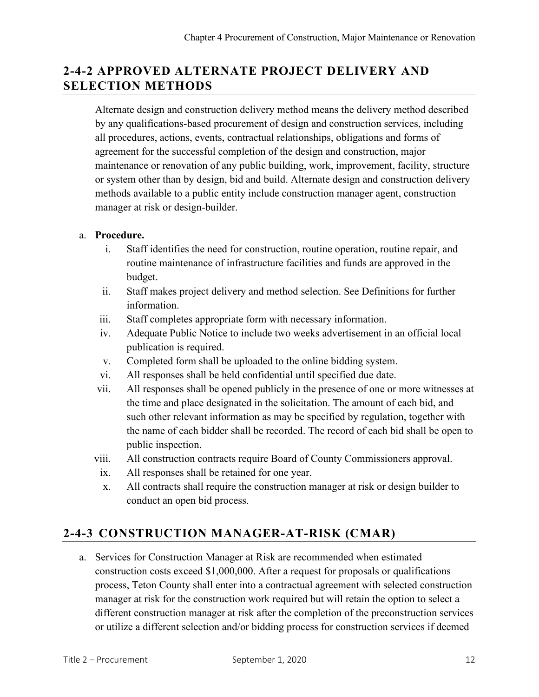## **2-4-2 APPROVED ALTERNATE PROJECT DELIVERY AND SELECTION METHODS**

Alternate design and construction delivery method means the delivery method described by any qualifications-based procurement of design and construction services, including all procedures, actions, events, contractual relationships, obligations and forms of agreement for the successful completion of the design and construction, major maintenance or renovation of any public building, work, improvement, facility, structure or system other than by design, bid and build. Alternate design and construction delivery methods available to a public entity include construction manager agent, construction manager at risk or design-builder.

#### a. **Procedure.**

- i. Staff identifies the need for construction, routine operation, routine repair, and routine maintenance of infrastructure facilities and funds are approved in the budget.
- ii. Staff makes project delivery and method selection. See Definitions for further information.
- iii. Staff completes appropriate form with necessary information.
- iv. Adequate Public Notice to include two weeks advertisement in an official local publication is required.
- v. Completed form shall be uploaded to the online bidding system.
- vi. All responses shall be held confidential until specified due date.
- vii. All responses shall be opened publicly in the presence of one or more witnesses at the time and place designated in the solicitation. The amount of each bid, and such other relevant information as may be specified by regulation, together with the name of each bidder shall be recorded. The record of each bid shall be open to public inspection.
- viii. All construction contracts require Board of County Commissioners approval.
	- ix. All responses shall be retained for one year.
	- x. All contracts shall require the construction manager at risk or design builder to conduct an open bid process.

## **2-4-3 CONSTRUCTION MANAGER-AT-RISK (CMAR)**

a. Services for Construction Manager at Risk are recommended when estimated construction costs exceed \$1,000,000. After a request for proposals or qualifications process, Teton County shall enter into a contractual agreement with selected construction manager at risk for the construction work required but will retain the option to select a different construction manager at risk after the completion of the preconstruction services or utilize a different selection and/or bidding process for construction services if deemed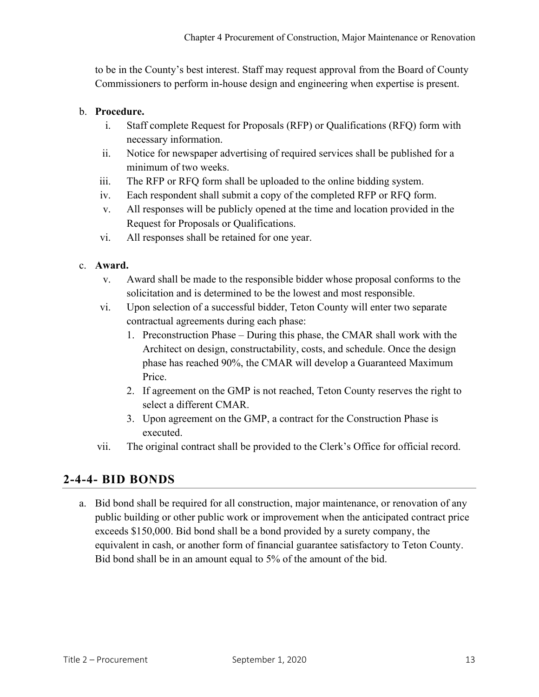to be in the County's best interest. Staff may request approval from the Board of County Commissioners to perform in-house design and engineering when expertise is present.

#### b. **Procedure.**

- i. Staff complete Request for Proposals (RFP) or Qualifications (RFQ) form with necessary information.
- ii. Notice for newspaper advertising of required services shall be published for a minimum of two weeks.
- iii. The RFP or RFQ form shall be uploaded to the online bidding system.
- iv. Each respondent shall submit a copy of the completed RFP or RFQ form.
- v. All responses will be publicly opened at the time and location provided in the Request for Proposals or Qualifications.
- vi. All responses shall be retained for one year.

#### c. **Award.**

- v. Award shall be made to the responsible bidder whose proposal conforms to the solicitation and is determined to be the lowest and most responsible.
- vi. Upon selection of a successful bidder, Teton County will enter two separate contractual agreements during each phase:
	- 1. Preconstruction Phase During this phase, the CMAR shall work with the Architect on design, constructability, costs, and schedule. Once the design phase has reached 90%, the CMAR will develop a Guaranteed Maximum Price.
	- 2. If agreement on the GMP is not reached, Teton County reserves the right to select a different CMAR.
	- 3. Upon agreement on the GMP, a contract for the Construction Phase is executed.
- vii. The original contract shall be provided to the Clerk's Office for official record.

#### **2-4-4- BID BONDS**

a. Bid bond shall be required for all construction, major maintenance, or renovation of any public building or other public work or improvement when the anticipated contract price exceeds \$150,000. Bid bond shall be a bond provided by a surety company, the equivalent in cash, or another form of financial guarantee satisfactory to Teton County. Bid bond shall be in an amount equal to 5% of the amount of the bid.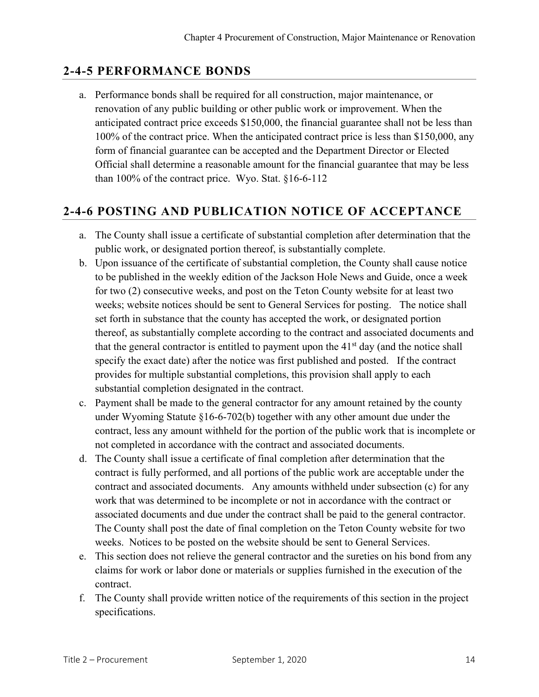## **2-4-5 PERFORMANCE BONDS**

a. Performance bonds shall be required for all construction, major maintenance, or renovation of any public building or other public work or improvement. When the anticipated contract price exceeds \$150,000, the financial guarantee shall not be less than 100% of the contract price. When the anticipated contract price is less than \$150,000, any form of financial guarantee can be accepted and the Department Director or Elected Official shall determine a reasonable amount for the financial guarantee that may be less than 100% of the contract price. Wyo. Stat. §16-6-112

## **2-4-6 POSTING AND PUBLICATION NOTICE OF ACCEPTANCE**

- a. The County shall issue a certificate of substantial completion after determination that the public work, or designated portion thereof, is substantially complete.
- b. Upon issuance of the certificate of substantial completion, the County shall cause notice to be published in the weekly edition of the Jackson Hole News and Guide, once a week for two (2) consecutive weeks, and post on the Teton County website for at least two weeks; website notices should be sent to General Services for posting. The notice shall set forth in substance that the county has accepted the work, or designated portion thereof, as substantially complete according to the contract and associated documents and that the general contractor is entitled to payment upon the  $41<sup>st</sup>$  day (and the notice shall specify the exact date) after the notice was first published and posted. If the contract provides for multiple substantial completions, this provision shall apply to each substantial completion designated in the contract.
- c. Payment shall be made to the general contractor for any amount retained by the county under Wyoming Statute §16-6-702(b) together with any other amount due under the contract, less any amount withheld for the portion of the public work that is incomplete or not completed in accordance with the contract and associated documents.
- d. The County shall issue a certificate of final completion after determination that the contract is fully performed, and all portions of the public work are acceptable under the contract and associated documents. Any amounts withheld under subsection (c) for any work that was determined to be incomplete or not in accordance with the contract or associated documents and due under the contract shall be paid to the general contractor. The County shall post the date of final completion on the Teton County website for two weeks. Notices to be posted on the website should be sent to General Services.
- e. This section does not relieve the general contractor and the sureties on his bond from any claims for work or labor done or materials or supplies furnished in the execution of the contract.
- f. The County shall provide written notice of the requirements of this section in the project specifications.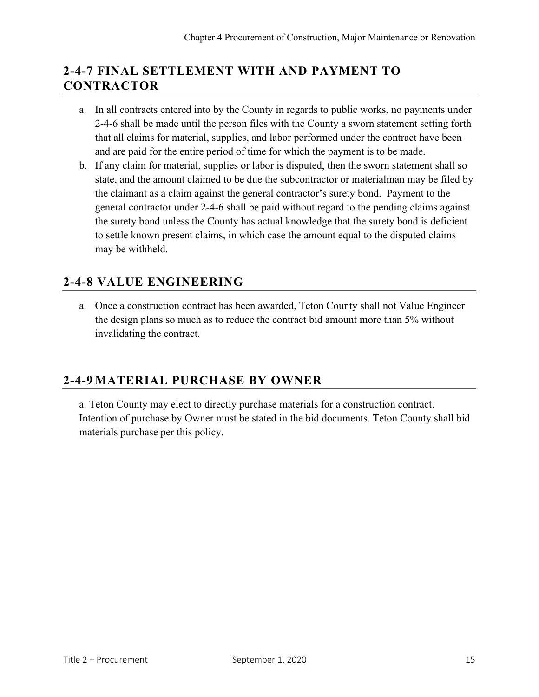## **2-4-7 FINAL SETTLEMENT WITH AND PAYMENT TO CONTRACTOR**

- a. In all contracts entered into by the County in regards to public works, no payments under 2-4-6 shall be made until the person files with the County a sworn statement setting forth that all claims for material, supplies, and labor performed under the contract have been and are paid for the entire period of time for which the payment is to be made.
- b. If any claim for material, supplies or labor is disputed, then the sworn statement shall so state, and the amount claimed to be due the subcontractor or materialman may be filed by the claimant as a claim against the general contractor's surety bond. Payment to the general contractor under 2-4-6 shall be paid without regard to the pending claims against the surety bond unless the County has actual knowledge that the surety bond is deficient to settle known present claims, in which case the amount equal to the disputed claims may be withheld.

## **2-4-8 VALUE ENGINEERING**

a. Once a construction contract has been awarded, Teton County shall not Value Engineer the design plans so much as to reduce the contract bid amount more than 5% without invalidating the contract.

#### **2-4-9 MATERIAL PURCHASE BY OWNER**

a. Teton County may elect to directly purchase materials for a construction contract. Intention of purchase by Owner must be stated in the bid documents. Teton County shall bid materials purchase per this policy.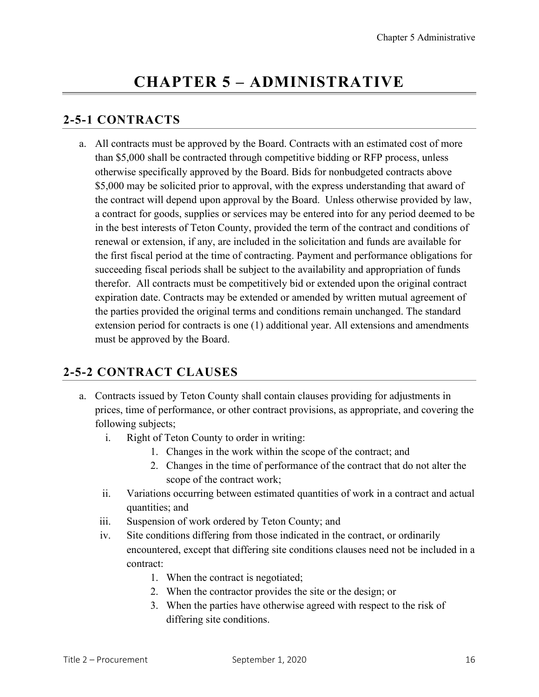## **CHAPTER 5 – ADMINISTRATIVE**

## **2-5-1 CONTRACTS**

a. All contracts must be approved by the Board. Contracts with an estimated cost of more than \$5,000 shall be contracted through competitive bidding or RFP process, unless otherwise specifically approved by the Board. Bids for nonbudgeted contracts above \$5,000 may be solicited prior to approval, with the express understanding that award of the contract will depend upon approval by the Board. Unless otherwise provided by law, a contract for goods, supplies or services may be entered into for any period deemed to be in the best interests of Teton County, provided the term of the contract and conditions of renewal or extension, if any, are included in the solicitation and funds are available for the first fiscal period at the time of contracting. Payment and performance obligations for succeeding fiscal periods shall be subject to the availability and appropriation of funds therefor. All contracts must be competitively bid or extended upon the original contract expiration date. Contracts may be extended or amended by written mutual agreement of the parties provided the original terms and conditions remain unchanged. The standard extension period for contracts is one (1) additional year. All extensions and amendments must be approved by the Board.

## **2-5-2 CONTRACT CLAUSES**

- a. Contracts issued by Teton County shall contain clauses providing for adjustments in prices, time of performance, or other contract provisions, as appropriate, and covering the following subjects;
	- i. Right of Teton County to order in writing:
		- 1. Changes in the work within the scope of the contract; and
		- 2. Changes in the time of performance of the contract that do not alter the scope of the contract work;
	- ii. Variations occurring between estimated quantities of work in a contract and actual quantities; and
	- iii. Suspension of work ordered by Teton County; and
	- iv. Site conditions differing from those indicated in the contract, or ordinarily encountered, except that differing site conditions clauses need not be included in a contract:
		- 1. When the contract is negotiated;
		- 2. When the contractor provides the site or the design; or
		- 3. When the parties have otherwise agreed with respect to the risk of differing site conditions.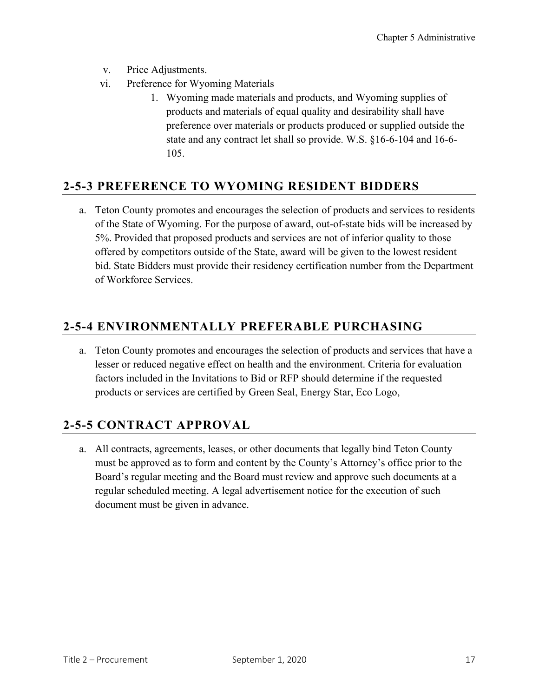- v. Price Adjustments.
- vi. Preference for Wyoming Materials
	- 1. Wyoming made materials and products, and Wyoming supplies of products and materials of equal quality and desirability shall have preference over materials or products produced or supplied outside the state and any contract let shall so provide. W.S. §16-6-104 and 16-6- 105.

#### **2-5-3 PREFERENCE TO WYOMING RESIDENT BIDDERS**

a. Teton County promotes and encourages the selection of products and services to residents of the State of Wyoming. For the purpose of award, out-of-state bids will be increased by 5%. Provided that proposed products and services are not of inferior quality to those offered by competitors outside of the State, award will be given to the lowest resident bid. State Bidders must provide their residency certification number from the Department of Workforce Services.

#### **2-5-4 ENVIRONMENTALLY PREFERABLE PURCHASING**

a. Teton County promotes and encourages the selection of products and services that have a lesser or reduced negative effect on health and the environment. Criteria for evaluation factors included in the Invitations to Bid or RFP should determine if the requested products or services are certified by Green Seal, Energy Star, Eco Logo,

## **2-5-5 CONTRACT APPROVAL**

a. All contracts, agreements, leases, or other documents that legally bind Teton County must be approved as to form and content by the County's Attorney's office prior to the Board's regular meeting and the Board must review and approve such documents at a regular scheduled meeting. A legal advertisement notice for the execution of such document must be given in advance.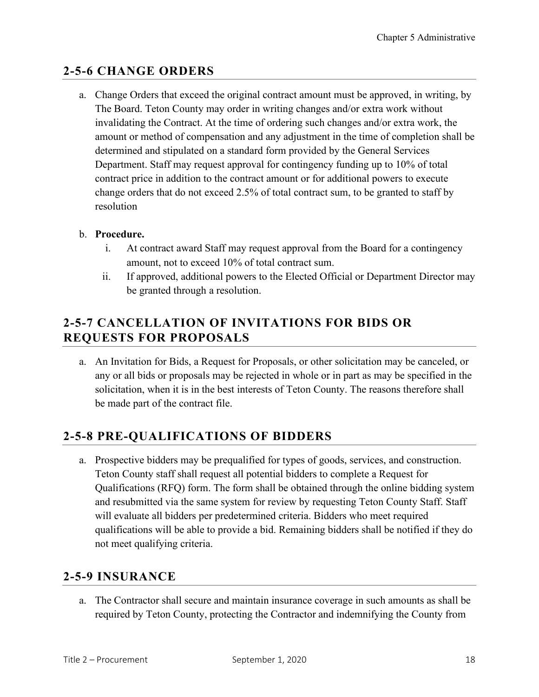### **2-5-6 CHANGE ORDERS**

a. Change Orders that exceed the original contract amount must be approved, in writing, by The Board. Teton County may order in writing changes and/or extra work without invalidating the Contract. At the time of ordering such changes and/or extra work, the amount or method of compensation and any adjustment in the time of completion shall be determined and stipulated on a standard form provided by the General Services Department. Staff may request approval for contingency funding up to 10% of total contract price in addition to the contract amount or for additional powers to execute change orders that do not exceed 2.5% of total contract sum, to be granted to staff by resolution

#### b. **Procedure.**

- i. At contract award Staff may request approval from the Board for a contingency amount, not to exceed 10% of total contract sum.
- ii. If approved, additional powers to the Elected Official or Department Director may be granted through a resolution.

## **2-5-7 CANCELLATION OF INVITATIONS FOR BIDS OR REQUESTS FOR PROPOSALS**

a. An Invitation for Bids, a Request for Proposals, or other solicitation may be canceled, or any or all bids or proposals may be rejected in whole or in part as may be specified in the solicitation, when it is in the best interests of Teton County. The reasons therefore shall be made part of the contract file.

#### **2-5-8 PRE-QUALIFICATIONS OF BIDDERS**

a. Prospective bidders may be prequalified for types of goods, services, and construction. Teton County staff shall request all potential bidders to complete a Request for Qualifications (RFQ) form. The form shall be obtained through the online bidding system and resubmitted via the same system for review by requesting Teton County Staff. Staff will evaluate all bidders per predetermined criteria. Bidders who meet required qualifications will be able to provide a bid. Remaining bidders shall be notified if they do not meet qualifying criteria.

#### **2-5-9 INSURANCE**

a. The Contractor shall secure and maintain insurance coverage in such amounts as shall be required by Teton County, protecting the Contractor and indemnifying the County from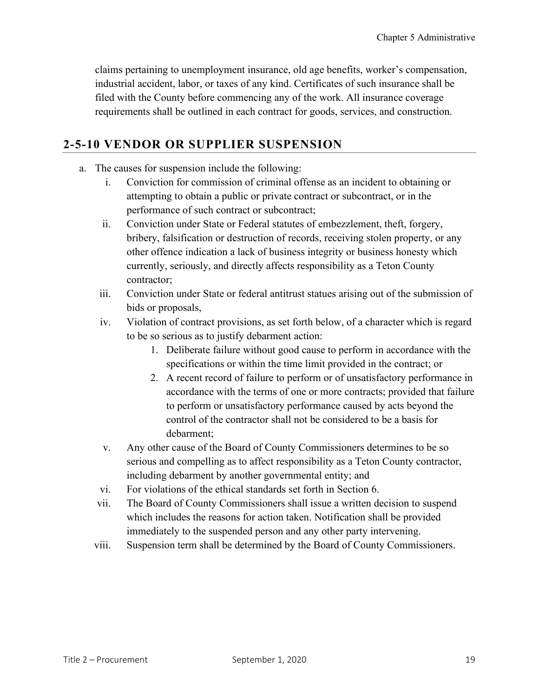claims pertaining to unemployment insurance, old age benefits, worker's compensation, industrial accident, labor, or taxes of any kind. Certificates of such insurance shall be filed with the County before commencing any of the work. All insurance coverage requirements shall be outlined in each contract for goods, services, and construction.

#### **2-5-10 VENDOR OR SUPPLIER SUSPENSION**

- a. The causes for suspension include the following:
	- i. Conviction for commission of criminal offense as an incident to obtaining or attempting to obtain a public or private contract or subcontract, or in the performance of such contract or subcontract;
	- ii. Conviction under State or Federal statutes of embezzlement, theft, forgery, bribery, falsification or destruction of records, receiving stolen property, or any other offence indication a lack of business integrity or business honesty which currently, seriously, and directly affects responsibility as a Teton County contractor;
	- iii. Conviction under State or federal antitrust statues arising out of the submission of bids or proposals,
	- iv. Violation of contract provisions, as set forth below, of a character which is regard to be so serious as to justify debarment action:
		- 1. Deliberate failure without good cause to perform in accordance with the specifications or within the time limit provided in the contract; or
		- 2. A recent record of failure to perform or of unsatisfactory performance in accordance with the terms of one or more contracts; provided that failure to perform or unsatisfactory performance caused by acts beyond the control of the contractor shall not be considered to be a basis for debarment;
	- v. Any other cause of the Board of County Commissioners determines to be so serious and compelling as to affect responsibility as a Teton County contractor, including debarment by another governmental entity; and
	- vi. For violations of the ethical standards set forth in Section 6.
	- vii. The Board of County Commissioners shall issue a written decision to suspend which includes the reasons for action taken. Notification shall be provided immediately to the suspended person and any other party intervening.
	- viii. Suspension term shall be determined by the Board of County Commissioners.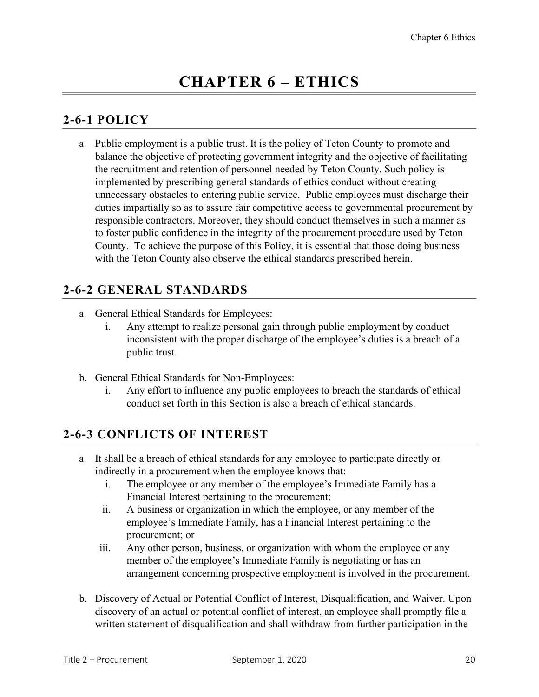## **2-6-1 POLICY**

a. Public employment is a public trust. It is the policy of Teton County to promote and balance the objective of protecting government integrity and the objective of facilitating the recruitment and retention of personnel needed by Teton County. Such policy is implemented by prescribing general standards of ethics conduct without creating unnecessary obstacles to entering public service. Public employees must discharge their duties impartially so as to assure fair competitive access to governmental procurement by responsible contractors. Moreover, they should conduct themselves in such a manner as to foster public confidence in the integrity of the procurement procedure used by Teton County. To achieve the purpose of this Policy, it is essential that those doing business with the Teton County also observe the ethical standards prescribed herein.

## **2-6-2 GENERAL STANDARDS**

- a. General Ethical Standards for Employees:
	- i. Any attempt to realize personal gain through public employment by conduct inconsistent with the proper discharge of the employee's duties is a breach of a public trust.
- b. General Ethical Standards for Non-Employees:
	- i. Any effort to influence any public employees to breach the standards of ethical conduct set forth in this Section is also a breach of ethical standards.

## **2-6-3 CONFLICTS OF INTEREST**

- a. It shall be a breach of ethical standards for any employee to participate directly or indirectly in a procurement when the employee knows that:
	- i. The employee or any member of the employee's Immediate Family has a Financial Interest pertaining to the procurement;
	- ii. A business or organization in which the employee, or any member of the employee's Immediate Family, has a Financial Interest pertaining to the procurement; or
	- iii. Any other person, business, or organization with whom the employee or any member of the employee's Immediate Family is negotiating or has an arrangement concerning prospective employment is involved in the procurement.
- b. Discovery of Actual or Potential Conflict of Interest, Disqualification, and Waiver. Upon discovery of an actual or potential conflict of interest, an employee shall promptly file a written statement of disqualification and shall withdraw from further participation in the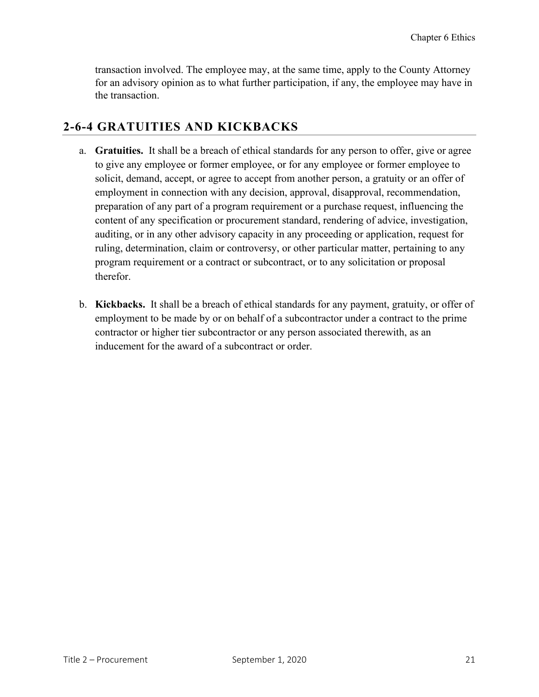transaction involved. The employee may, at the same time, apply to the County Attorney for an advisory opinion as to what further participation, if any, the employee may have in the transaction.

#### **2-6-4 GRATUITIES AND KICKBACKS**

- a. **Gratuities.** It shall be a breach of ethical standards for any person to offer, give or agree to give any employee or former employee, or for any employee or former employee to solicit, demand, accept, or agree to accept from another person, a gratuity or an offer of employment in connection with any decision, approval, disapproval, recommendation, preparation of any part of a program requirement or a purchase request, influencing the content of any specification or procurement standard, rendering of advice, investigation, auditing, or in any other advisory capacity in any proceeding or application, request for ruling, determination, claim or controversy, or other particular matter, pertaining to any program requirement or a contract or subcontract, or to any solicitation or proposal therefor.
- b. **Kickbacks.** It shall be a breach of ethical standards for any payment, gratuity, or offer of employment to be made by or on behalf of a subcontractor under a contract to the prime contractor or higher tier subcontractor or any person associated therewith, as an inducement for the award of a subcontract or order.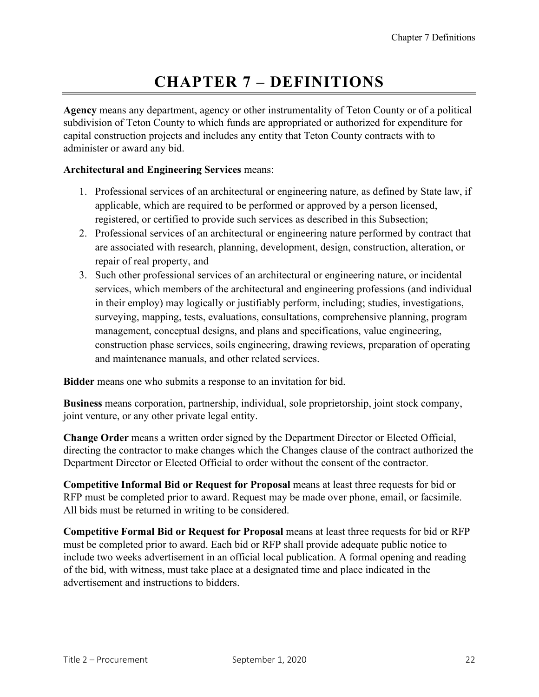## **CHAPTER 7 – DEFINITIONS**

**Agency** means any department, agency or other instrumentality of Teton County or of a political subdivision of Teton County to which funds are appropriated or authorized for expenditure for capital construction projects and includes any entity that Teton County contracts with to administer or award any bid.

#### **Architectural and Engineering Services** means:

- 1. Professional services of an architectural or engineering nature, as defined by State law, if applicable, which are required to be performed or approved by a person licensed, registered, or certified to provide such services as described in this Subsection;
- 2. Professional services of an architectural or engineering nature performed by contract that are associated with research, planning, development, design, construction, alteration, or repair of real property, and
- 3. Such other professional services of an architectural or engineering nature, or incidental services, which members of the architectural and engineering professions (and individual in their employ) may logically or justifiably perform, including; studies, investigations, surveying, mapping, tests, evaluations, consultations, comprehensive planning, program management, conceptual designs, and plans and specifications, value engineering, construction phase services, soils engineering, drawing reviews, preparation of operating and maintenance manuals, and other related services.

**Bidder** means one who submits a response to an invitation for bid.

**Business** means corporation, partnership, individual, sole proprietorship, joint stock company, joint venture, or any other private legal entity.

**Change Order** means a written order signed by the Department Director or Elected Official, directing the contractor to make changes which the Changes clause of the contract authorized the Department Director or Elected Official to order without the consent of the contractor.

**Competitive Informal Bid or Request for Proposal** means at least three requests for bid or RFP must be completed prior to award. Request may be made over phone, email, or facsimile. All bids must be returned in writing to be considered.

**Competitive Formal Bid or Request for Proposal** means at least three requests for bid or RFP must be completed prior to award. Each bid or RFP shall provide adequate public notice to include two weeks advertisement in an official local publication. A formal opening and reading of the bid, with witness, must take place at a designated time and place indicated in the advertisement and instructions to bidders.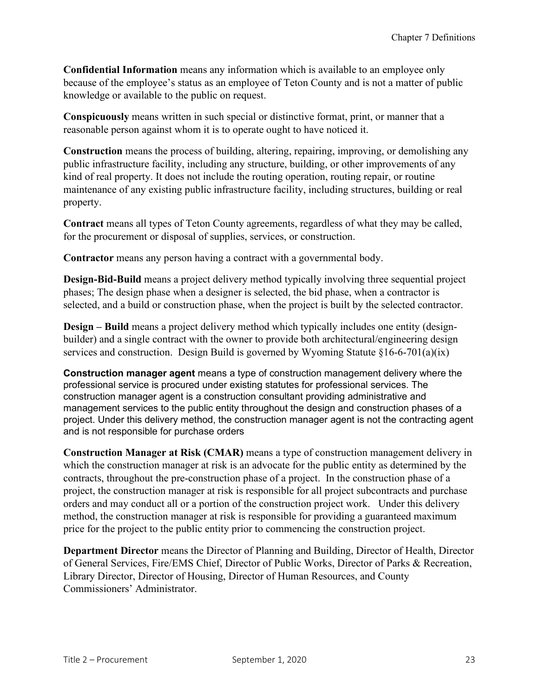**Confidential Information** means any information which is available to an employee only because of the employee's status as an employee of Teton County and is not a matter of public knowledge or available to the public on request.

**Conspicuously** means written in such special or distinctive format, print, or manner that a reasonable person against whom it is to operate ought to have noticed it.

**Construction** means the process of building, altering, repairing, improving, or demolishing any public infrastructure facility, including any structure, building, or other improvements of any kind of real property. It does not include the routing operation, routing repair, or routine maintenance of any existing public infrastructure facility, including structures, building or real property.

**Contract** means all types of Teton County agreements, regardless of what they may be called, for the procurement or disposal of supplies, services, or construction.

**Contractor** means any person having a contract with a governmental body.

**Design-Bid-Build** means a project delivery method typically involving three sequential project phases; The design phase when a designer is selected, the bid phase, when a contractor is selected, and a build or construction phase, when the project is built by the selected contractor.

**Design – Build** means a project delivery method which typically includes one entity (designbuilder) and a single contract with the owner to provide both architectural/engineering design services and construction. Design Build is governed by Wyoming Statute §16-6-701(a)(ix)

**Construction manager agent** means a type of construction management delivery where the professional service is procured under existing statutes for professional services. The construction manager agent is a construction consultant providing administrative and management services to the public entity throughout the design and construction phases of a project. Under this delivery method, the construction manager agent is not the contracting agent and is not responsible for purchase orders

**Construction Manager at Risk (CMAR)** means a type of construction management delivery in which the construction manager at risk is an advocate for the public entity as determined by the contracts, throughout the pre-construction phase of a project. In the construction phase of a project, the construction manager at risk is responsible for all project subcontracts and purchase orders and may conduct all or a portion of the construction project work. Under this delivery method, the construction manager at risk is responsible for providing a guaranteed maximum price for the project to the public entity prior to commencing the construction project.

**Department Director** means the Director of Planning and Building, Director of Health, Director of General Services, Fire/EMS Chief, Director of Public Works, Director of Parks & Recreation, Library Director, Director of Housing, Director of Human Resources, and County Commissioners' Administrator.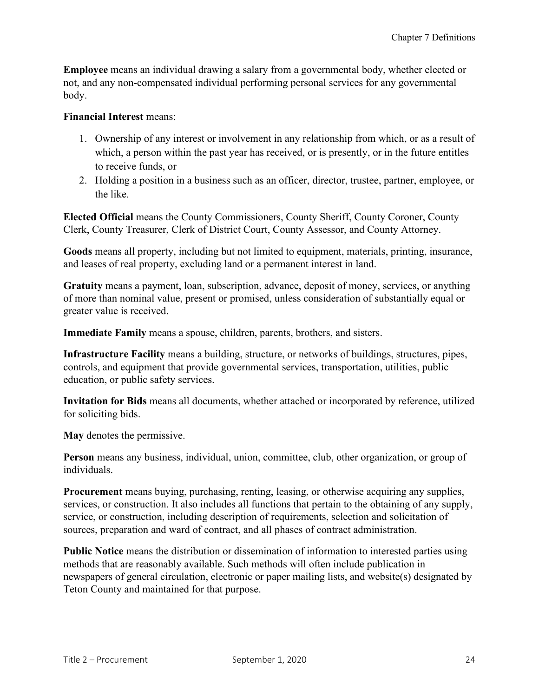**Employee** means an individual drawing a salary from a governmental body, whether elected or not, and any non-compensated individual performing personal services for any governmental body.

#### **Financial Interest** means:

- 1. Ownership of any interest or involvement in any relationship from which, or as a result of which, a person within the past year has received, or is presently, or in the future entitles to receive funds, or
- 2. Holding a position in a business such as an officer, director, trustee, partner, employee, or the like.

**Elected Official** means the County Commissioners, County Sheriff, County Coroner, County Clerk, County Treasurer, Clerk of District Court, County Assessor, and County Attorney.

**Goods** means all property, including but not limited to equipment, materials, printing, insurance, and leases of real property, excluding land or a permanent interest in land.

**Gratuity** means a payment, loan, subscription, advance, deposit of money, services, or anything of more than nominal value, present or promised, unless consideration of substantially equal or greater value is received.

**Immediate Family** means a spouse, children, parents, brothers, and sisters.

**Infrastructure Facility** means a building, structure, or networks of buildings, structures, pipes, controls, and equipment that provide governmental services, transportation, utilities, public education, or public safety services.

**Invitation for Bids** means all documents, whether attached or incorporated by reference, utilized for soliciting bids.

**May** denotes the permissive.

**Person** means any business, individual, union, committee, club, other organization, or group of individuals.

**Procurement** means buying, purchasing, renting, leasing, or otherwise acquiring any supplies, services, or construction. It also includes all functions that pertain to the obtaining of any supply, service, or construction, including description of requirements, selection and solicitation of sources, preparation and ward of contract, and all phases of contract administration.

**Public Notice** means the distribution or dissemination of information to interested parties using methods that are reasonably available. Such methods will often include publication in newspapers of general circulation, electronic or paper mailing lists, and website(s) designated by Teton County and maintained for that purpose.